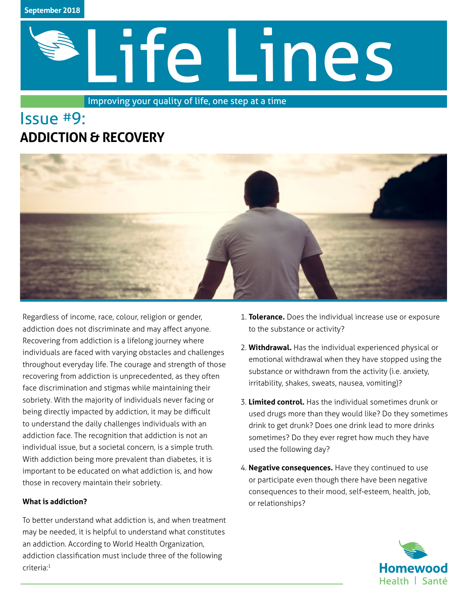# Life Lines

Improving your quality of life, one step at a time

# Issue #9: **ADDICTION & RECOVERY**



Regardless of income, race, colour, religion or gender, addiction does not discriminate and may affect anyone. Recovering from addiction is a lifelong journey where individuals are faced with varying obstacles and challenges throughout everyday life. The courage and strength of those recovering from addiction is unprecedented, as they often face discrimination and stigmas while maintaining their sobriety. With the majority of individuals never facing or being directly impacted by addiction, it may be difficult to understand the daily challenges individuals with an addiction face. The recognition that addiction is not an individual issue, but a societal concern, is a simple truth. With addiction being more prevalent than diabetes, it is important to be educated on what addiction is, and how those in recovery maintain their sobriety.

# **What is addiction?**

To better understand what addiction is, and when treatment may be needed, it is helpful to understand what constitutes an addiction. According to World Health Organization, addiction classification must include three of the following criteria:1

- 1. **Tolerance.** Does the individual increase use or exposure to the substance or activity?
- 2. **Withdrawal.** Has the individual experienced physical or emotional withdrawal when they have stopped using the substance or withdrawn from the activity (i.e. anxiety, irritability, shakes, sweats, nausea, vomiting)?
- 3. **Limited control.** Has the individual sometimes drunk or used drugs more than they would like? Do they sometimes drink to get drunk? Does one drink lead to more drinks sometimes? Do they ever regret how much they have used the following day?
- 4. **Negative consequences.** Have they continued to use or participate even though there have been negative consequences to their mood, self-esteem, health, job, or relationships?

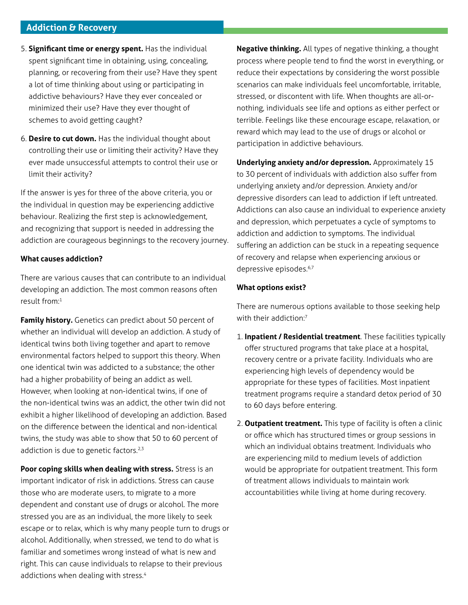## **Addiction & Recovery**

- 5. **Significant time or energy spent.** Has the individual spent significant time in obtaining, using, concealing, planning, or recovering from their use? Have they spent a lot of time thinking about using or participating in addictive behaviours? Have they ever concealed or minimized their use? Have they ever thought of schemes to avoid getting caught?
- 6. **Desire to cut down.** Has the individual thought about controlling their use or limiting their activity? Have they ever made unsuccessful attempts to control their use or limit their activity?

If the answer is yes for three of the above criteria, you or the individual in question may be experiencing addictive behaviour. Realizing the first step is acknowledgement, and recognizing that support is needed in addressing the addiction are courageous beginnings to the recovery journey.

#### **What causes addiction?**

There are various causes that can contribute to an individual developing an addiction. The most common reasons often result from:<sup>1</sup>

**Family history.** Genetics can predict about 50 percent of whether an individual will develop an addiction. A study of identical twins both living together and apart to remove environmental factors helped to support this theory. When one identical twin was addicted to a substance; the other had a higher probability of being an addict as well. However, when looking at non-identical twins, if one of the non-identical twins was an addict, the other twin did not exhibit a higher likelihood of developing an addiction. Based on the difference between the identical and non-identical twins, the study was able to show that 50 to 60 percent of addiction is due to genetic factors.<sup>2,3</sup>

**Poor coping skills when dealing with stress.** Stress is an important indicator of risk in addictions. Stress can cause those who are moderate users, to migrate to a more dependent and constant use of drugs or alcohol. The more stressed you are as an individual, the more likely to seek escape or to relax, which is why many people turn to drugs or alcohol. Additionally, when stressed, we tend to do what is familiar and sometimes wrong instead of what is new and right. This can cause individuals to relapse to their previous addictions when dealing with stress.<sup>4</sup>

**Negative thinking.** All types of negative thinking, a thought process where people tend to find the worst in everything, or reduce their expectations by considering the worst possible scenarios can make individuals feel uncomfortable, irritable, stressed, or discontent with life. When thoughts are all-ornothing, individuals see life and options as either perfect or terrible. Feelings like these encourage escape, relaxation, or reward which may lead to the use of drugs or alcohol or participation in addictive behaviours.

**Underlying anxiety and/or depression.** Approximately 15 to 30 percent of individuals with addiction also suffer from underlying anxiety and/or depression. Anxiety and/or depressive disorders can lead to addiction if left untreated. Addictions can also cause an individual to experience anxiety and depression, which perpetuates a cycle of symptoms to addiction and addiction to symptoms. The individual suffering an addiction can be stuck in a repeating sequence of recovery and relapse when experiencing anxious or depressive episodes.<sup>6,7</sup>

#### **What options exist?**

There are numerous options available to those seeking help with their addiction:<sup>7</sup>

- 1. **Inpatient / Residential treatment**. These facilities typically offer structured programs that take place at a hospital, recovery centre or a private facility. Individuals who are experiencing high levels of dependency would be appropriate for these types of facilities. Most inpatient treatment programs require a standard detox period of 30 to 60 days before entering.
- 2. **Outpatient treatment.** This type of facility is often a clinic or office which has structured times or group sessions in which an individual obtains treatment. Individuals who are experiencing mild to medium levels of addiction would be appropriate for outpatient treatment. This form of treatment allows individuals to maintain work accountabilities while living at home during recovery.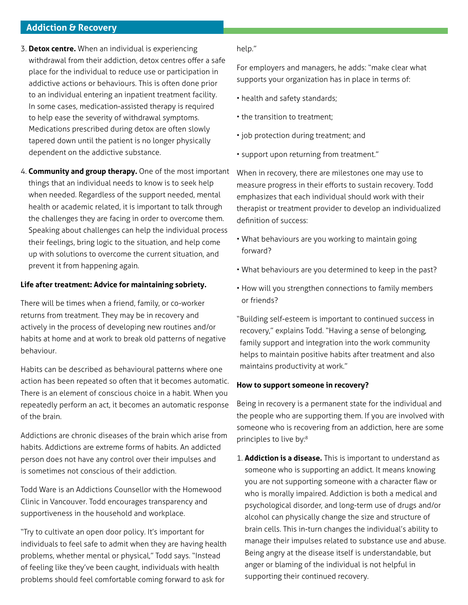# **Addiction & Recovery**

- 3. **Detox centre.** When an individual is experiencing withdrawal from their addiction, detox centres offer a safe place for the individual to reduce use or participation in addictive actions or behaviours. This is often done prior to an individual entering an inpatient treatment facility. In some cases, medication-assisted therapy is required to help ease the severity of withdrawal symptoms. Medications prescribed during detox are often slowly tapered down until the patient is no longer physically dependent on the addictive substance.
- 4. **Community and group therapy.** One of the most important things that an individual needs to know is to seek help when needed. Regardless of the support needed, mental health or academic related, it is important to talk through the challenges they are facing in order to overcome them. Speaking about challenges can help the individual process their feelings, bring logic to the situation, and help come up with solutions to overcome the current situation, and prevent it from happening again.

#### **Life after treatment: Advice for maintaining sobriety.**

There will be times when a friend, family, or co-worker returns from treatment. They may be in recovery and actively in the process of developing new routines and/or habits at home and at work to break old patterns of negative behaviour.

Habits can be described as behavioural patterns where one action has been repeated so often that it becomes automatic. There is an element of conscious choice in a habit. When you repeatedly perform an act, it becomes an automatic response of the brain.

Addictions are chronic diseases of the brain which arise from habits. Addictions are extreme forms of habits. An addicted person does not have any control over their impulses and is sometimes not conscious of their addiction.

Todd Ware is an Addictions Counsellor with the Homewood Clinic in Vancouver. Todd encourages transparency and supportiveness in the household and workplace.

"Try to cultivate an open door policy. It's important for individuals to feel safe to admit when they are having health problems, whether mental or physical," Todd says. "Instead of feeling like they've been caught, individuals with health problems should feel comfortable coming forward to ask for

#### help."

For employers and managers, he adds: "make clear what supports your organization has in place in terms of:

- health and safety standards;
- the transition to treatment;
- job protection during treatment; and
- support upon returning from treatment."

When in recovery, there are milestones one may use to measure progress in their efforts to sustain recovery. Todd emphasizes that each individual should work with their therapist or treatment provider to develop an individualized definition of success:

- What behaviours are you working to maintain going forward?
- What behaviours are you determined to keep in the past?
- How will you strengthen connections to family members or friends?

"Building self-esteem is important to continued success in recovery," explains Todd. "Having a sense of belonging, family support and integration into the work community helps to maintain positive habits after treatment and also maintains productivity at work."

#### **How to support someone in recovery?**

Being in recovery is a permanent state for the individual and the people who are supporting them. If you are involved with someone who is recovering from an addiction, here are some principles to live by:8

1. **Addiction is a disease.** This is important to understand as someone who is supporting an addict. It means knowing you are not supporting someone with a character flaw or who is morally impaired. Addiction is both a medical and psychological disorder, and long-term use of drugs and/or alcohol can physically change the size and structure of brain cells. This in-turn changes the individual's ability to manage their impulses related to substance use and abuse. Being angry at the disease itself is understandable, but anger or blaming of the individual is not helpful in supporting their continued recovery.